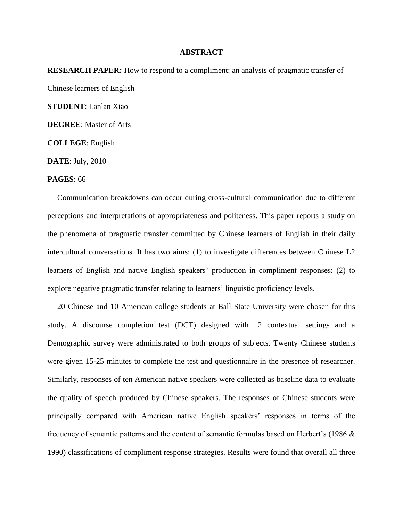## **ABSTRACT**

**RESEARCH PAPER:** How to respond to a compliment: an analysis of pragmatic transfer of Chinese learners of English **STUDENT**: Lanlan Xiao **DEGREE**: Master of Arts **COLLEGE**: English

**DATE**: July, 2010

## **PAGES**: 66

 Communication breakdowns can occur during cross-cultural communication due to different perceptions and interpretations of appropriateness and politeness. This paper reports a study on the phenomena of pragmatic transfer committed by Chinese learners of English in their daily intercultural conversations. It has two aims: (1) to investigate differences between Chinese L2 learners of English and native English speakers' production in compliment responses; (2) to explore negative pragmatic transfer relating to learners' linguistic proficiency levels.

 20 Chinese and 10 American college students at Ball State University were chosen for this study. A discourse completion test (DCT) designed with 12 contextual settings and a Demographic survey were administrated to both groups of subjects. Twenty Chinese students were given 15-25 minutes to complete the test and questionnaire in the presence of researcher. Similarly, responses of ten American native speakers were collected as baseline data to evaluate the quality of speech produced by Chinese speakers. The responses of Chinese students were principally compared with American native English speakers' responses in terms of the frequency of semantic patterns and the content of semantic formulas based on Herbert's (1986 & 1990) classifications of compliment response strategies. Results were found that overall all three